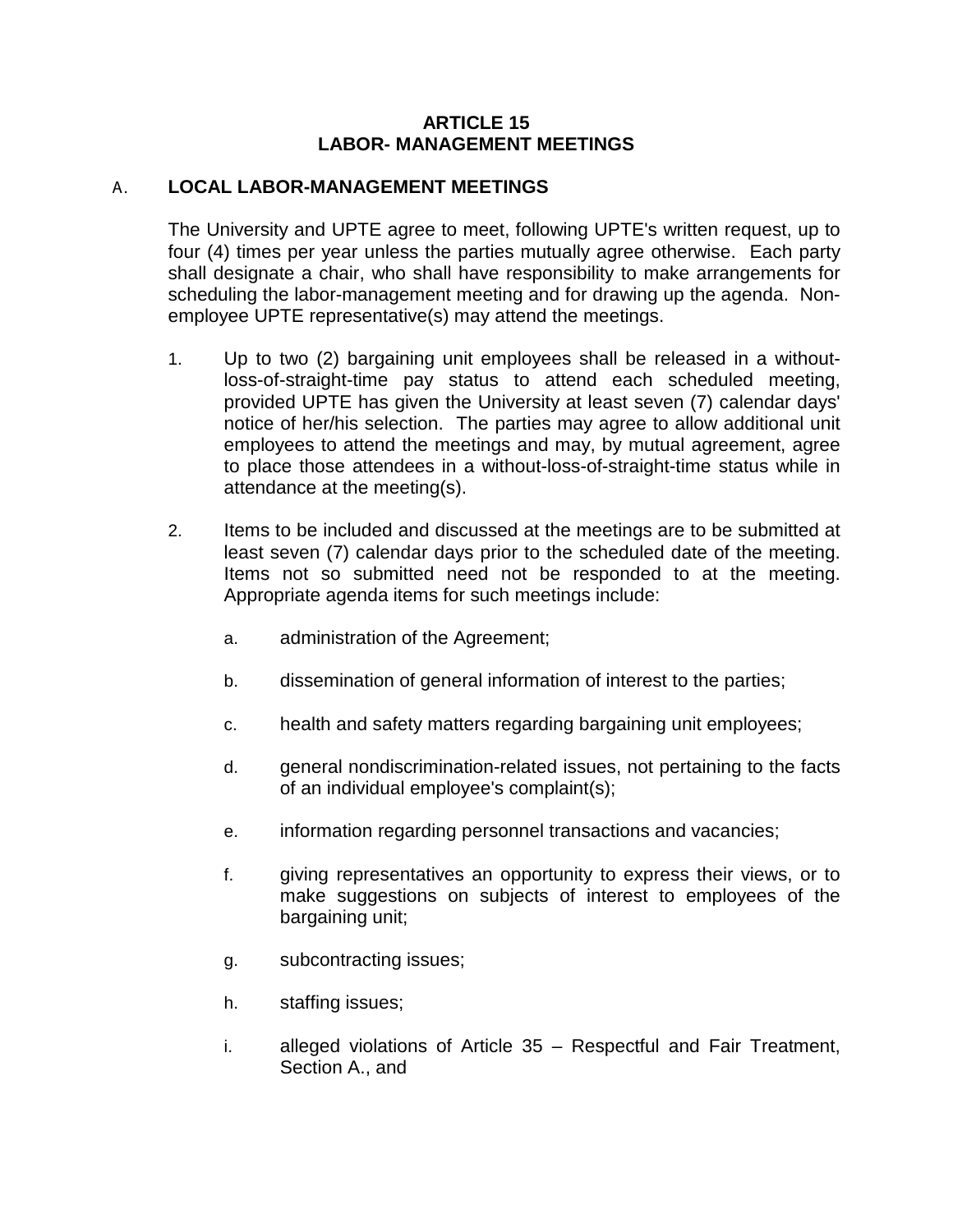## **ARTICLE 15 LABOR- MANAGEMENT MEETINGS**

## A. **LOCAL LABOR-MANAGEMENT MEETINGS**

The University and UPTE agree to meet, following UPTE's written request, up to four (4) times per year unless the parties mutually agree otherwise. Each party shall designate a chair, who shall have responsibility to make arrangements for scheduling the labor-management meeting and for drawing up the agenda. Nonemployee UPTE representative(s) may attend the meetings.

- 1. Up to two (2) bargaining unit employees shall be released in a withoutloss-of-straight-time pay status to attend each scheduled meeting, provided UPTE has given the University at least seven (7) calendar days' notice of her/his selection. The parties may agree to allow additional unit employees to attend the meetings and may, by mutual agreement, agree to place those attendees in a without-loss-of-straight-time status while in attendance at the meeting(s).
- 2. Items to be included and discussed at the meetings are to be submitted at least seven (7) calendar days prior to the scheduled date of the meeting. Items not so submitted need not be responded to at the meeting. Appropriate agenda items for such meetings include:
	- a. administration of the Agreement;
	- b. dissemination of general information of interest to the parties;
	- c. health and safety matters regarding bargaining unit employees;
	- d. general nondiscrimination-related issues, not pertaining to the facts of an individual employee's complaint(s);
	- e. information regarding personnel transactions and vacancies;
	- f. giving representatives an opportunity to express their views, or to make suggestions on subjects of interest to employees of the bargaining unit;
	- g. subcontracting issues;
	- h. staffing issues;
	- i. alleged violations of Article 35 Respectful and Fair Treatment, Section A., and